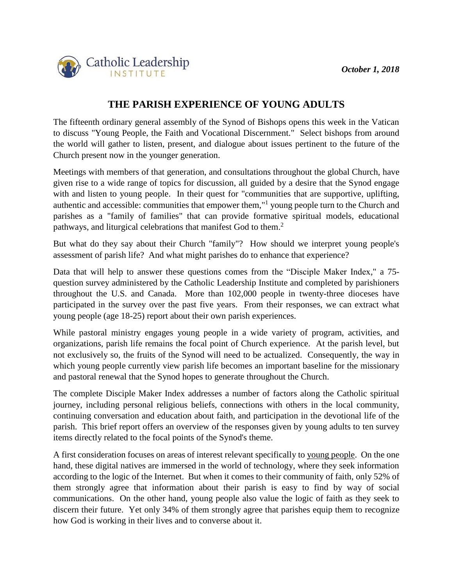

## **THE PARISH EXPERIENCE OF YOUNG ADULTS**

The fifteenth ordinary general assembly of the Synod of Bishops opens this week in the Vatican to discuss "Young People, the Faith and Vocational Discernment." Select bishops from around the world will gather to listen, present, and dialogue about issues pertinent to the future of the Church present now in the younger generation.

Meetings with members of that generation, and consultations throughout the global Church, have given rise to a wide range of topics for discussion, all guided by a desire that the Synod engage with and listen to young people. In their quest for "communities that are supportive, uplifting, authentic and accessible: communities that empower them,"<sup>1</sup> young people turn to the Church and parishes as a "family of families" that can provide formative spiritual models, educational pathways, and liturgical celebrations that manifest God to them.<sup>2</sup>

But what do they say about their Church "family"? How should we interpret young people's assessment of parish life? And what might parishes do to enhance that experience?

Data that will help to answer these questions comes from the "Disciple Maker Index," a 75 question survey administered by the Catholic Leadership Institute and completed by parishioners throughout the U.S. and Canada. More than 102,000 people in twenty-three dioceses have participated in the survey over the past five years. From their responses, we can extract what young people (age 18-25) report about their own parish experiences.

While pastoral ministry engages young people in a wide variety of program, activities, and organizations, parish life remains the focal point of Church experience. At the parish level, but not exclusively so, the fruits of the Synod will need to be actualized. Consequently, the way in which young people currently view parish life becomes an important baseline for the missionary and pastoral renewal that the Synod hopes to generate throughout the Church.

The complete Disciple Maker Index addresses a number of factors along the Catholic spiritual journey, including personal religious beliefs, connections with others in the local community, continuing conversation and education about faith, and participation in the devotional life of the parish. This brief report offers an overview of the responses given by young adults to ten survey items directly related to the focal points of the Synod's theme.

A first consideration focuses on areas of interest relevant specifically to young people. On the one hand, these digital natives are immersed in the world of technology, where they seek information according to the logic of the Internet. But when it comes to their community of faith, only 52% of them strongly agree that information about their parish is easy to find by way of social communications. On the other hand, young people also value the logic of faith as they seek to discern their future. Yet only 34% of them strongly agree that parishes equip them to recognize how God is working in their lives and to converse about it.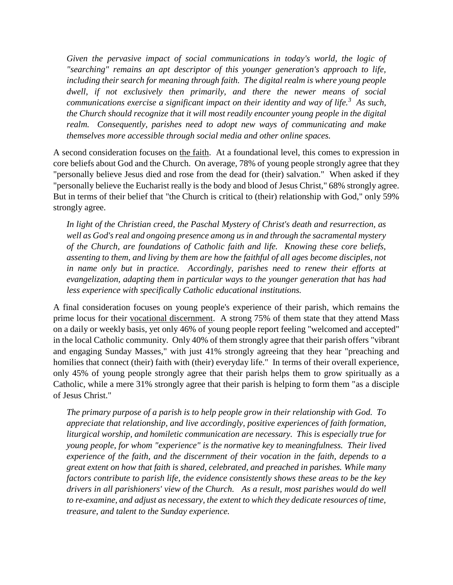*Given the pervasive impact of social communications in today's world, the logic of "searching" remains an apt descriptor of this younger generation's approach to life, including their search for meaning through faith. The digital realm is where young people dwell, if not exclusively then primarily, and there the newer means of social communications exercise a significant impact on their identity and way of life.<sup>3</sup> As such, the Church should recognize that it will most readily encounter young people in the digital realm. Consequently, parishes need to adopt new ways of communicating and make themselves more accessible through social media and other online spaces.*

A second consideration focuses on the faith. At a foundational level, this comes to expression in core beliefs about God and the Church. On average, 78% of young people strongly agree that they "personally believe Jesus died and rose from the dead for (their) salvation." When asked if they "personally believe the Eucharist really is the body and blood of Jesus Christ," 68% strongly agree. But in terms of their belief that "the Church is critical to (their) relationship with God," only 59% strongly agree.

*In light of the Christian creed, the Paschal Mystery of Christ's death and resurrection, as well as God's real and ongoing presence among us in and through the sacramental mystery of the Church, are foundations of Catholic faith and life. Knowing these core beliefs, assenting to them, and living by them are how the faithful of all ages become disciples, not*  in name only but in practice. Accordingly, parishes need to renew their efforts at *evangelization, adapting them in particular ways to the younger generation that has had less experience with specifically Catholic educational institutions.*

A final consideration focuses on young people's experience of their parish, which remains the prime locus for their vocational discernment. A strong 75% of them state that they attend Mass on a daily or weekly basis, yet only 46% of young people report feeling "welcomed and accepted" in the local Catholic community. Only 40% of them strongly agree that their parish offers "vibrant and engaging Sunday Masses," with just 41% strongly agreeing that they hear "preaching and homilies that connect (their) faith with (their) everyday life." In terms of their overall experience, only 45% of young people strongly agree that their parish helps them to grow spiritually as a Catholic, while a mere 31% strongly agree that their parish is helping to form them "as a disciple of Jesus Christ."

*The primary purpose of a parish is to help people grow in their relationship with God. To appreciate that relationship, and live accordingly, positive experiences of faith formation, liturgical worship, and homiletic communication are necessary. This is especially true for young people, for whom "experience" is the normative key to meaningfulness. Their lived experience of the faith, and the discernment of their vocation in the faith, depends to a great extent on how that faith is shared, celebrated, and preached in parishes. While many factors contribute to parish life, the evidence consistently shows these areas to be the key drivers in all parishioners' view of the Church. As a result, most parishes would do well to re-examine, and adjust as necessary, the extent to which they dedicate resources of time, treasure, and talent to the Sunday experience.*